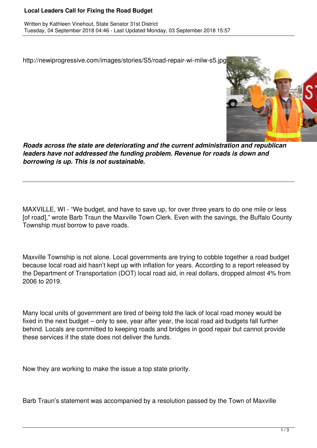## **Local Leaders Call for Fixing the Road Budget**

http://newiprogressive.com/images/stories/S5/road-repair-wi-milw-s5.jpg



*Roads across the state are deteriorating and the current administration and republican leaders have not addressed the funding problem. Revenue for roads is down and borrowing is up. This is not sustainable.*

MAXVILLE, WI - "We budget, and have to save up, for over three years to do one mile or less [of road]," wrote Barb Traun the Maxville Town Clerk. Even with the savings, the Buffalo County Township must borrow to pave roads.

Maxville Township is not alone. Local governments are trying to cobble together a road budget because local road aid hasn't kept up with inflation for years. According to a report released by the Department of Transportation (DOT) local road aid, in real dollars, dropped almost 4% from 2006 to 2019.

Many local units of government are tired of being told the lack of local road money would be fixed in the next budget – only to see, year after year, the local road aid budgets fall further behind. Locals are committed to keeping roads and bridges in good repair but cannot provide these services if the state does not deliver the funds.

Now they are working to make the issue a top state priority.

Barb Traun's statement was accompanied by a resolution passed by the Town of Maxville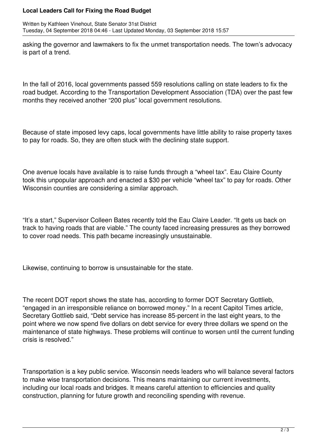## **Local Leaders Call for Fixing the Road Budget**

Written by Kathleen Vinehout, State Senator 31st District Tuesday, 04 September 2018 04:46 - Last Updated Monday, 03 September 2018 15:57

asking the governor and lawmakers to fix the unmet transportation needs. The town's advocacy is part of a trend.

In the fall of 2016, local governments passed 559 resolutions calling on state leaders to fix the road budget. According to the Transportation Development Association (TDA) over the past few months they received another "200 plus" local government resolutions.

Because of state imposed levy caps, local governments have little ability to raise property taxes to pay for roads. So, they are often stuck with the declining state support.

One avenue locals have available is to raise funds through a "wheel tax". Eau Claire County took this unpopular approach and enacted a \$30 per vehicle "wheel tax" to pay for roads. Other Wisconsin counties are considering a similar approach.

"It's a start," Supervisor Colleen Bates recently told the Eau Claire Leader. "It gets us back on track to having roads that are viable." The county faced increasing pressures as they borrowed to cover road needs. This path became increasingly unsustainable.

Likewise, continuing to borrow is unsustainable for the state.

The recent DOT report shows the state has, according to former DOT Secretary Gottlieb, "engaged in an irresponsible reliance on borrowed money." In a recent Capitol Times article, Secretary Gottlieb said, "Debt service has increase 85-percent in the last eight years, to the point where we now spend five dollars on debt service for every three dollars we spend on the maintenance of state highways. These problems will continue to worsen until the current funding crisis is resolved."

Transportation is a key public service. Wisconsin needs leaders who will balance several factors to make wise transportation decisions. This means maintaining our current investments, including our local roads and bridges. It means careful attention to efficiencies and quality construction, planning for future growth and reconciling spending with revenue.